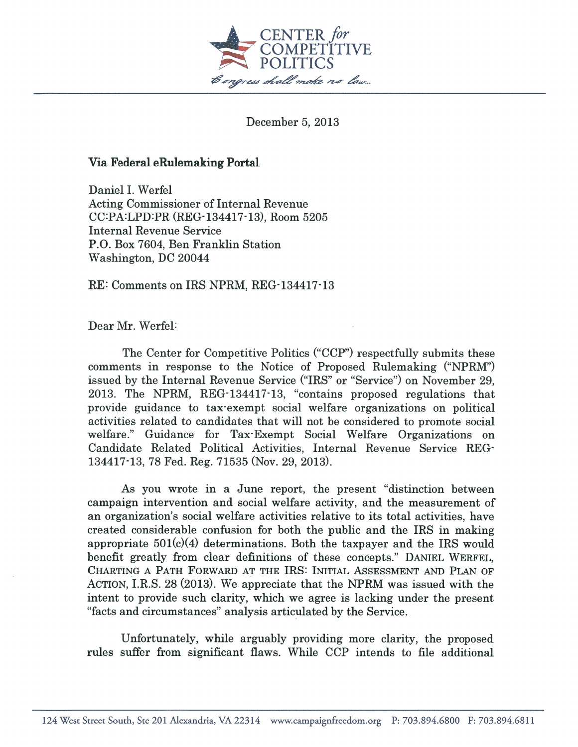

December 5, 2013

# Via Federal eRulemaking Portal

Daniel I. Werfel Acting Commissioner of Internal Revenue CC:PA:LPD:PR (REG-134417-13), Room 5205 Internal Revenue Service P.O. Box 7604, Ben Franklin Station Washington, DC 20044

RE: Comments on IRS NPRM, REG-134417-13

Dear Mr. Werfel

The Center for Competitive Politics ("CCP") respectfully submits these comments in response to the Notice of Proposed Rulemaking ("NPRM") issued by the Internal Revenue Service ("IRS" or "Service") on November 29, 2013. The NPRM, REG-134417-13, "contains proposed regulations that provide guidance to tax-exempt social welfare organizations on political activities related to candidates that will not be considered to promote social welfare." Guidance for Tax-Exempt Social Welfare Organizations on Candidate Related Political Activities, Internal Revenue Service REG 134417-13, 78 Fed. Reg. 71535 (Nov. 29, 2013).

As you wrote in <sup>a</sup> June report, the presen<sup>t</sup> "distinction between campaign intervention and social welfare activity, and the measurement of an organization's social welfare activities relative to its total activities, have created considerable confusion for both the public and the IRS in making appropriate  $501(c)(4)$  determinations. Both the taxpayer and the IRS would benefit greatly from clear definitions of these concepts." DANIEL WERFEL, CHARTING <sup>A</sup> PATH FORWARD AT THE IRS: INITIAL ASSESSMENT AND PLAN OF ACTION, I.R.S. 28 (2013). We appreciate that the NPRM was issued with the intent to provide such clarity, which we agree is lacking under the presen<sup>t</sup> "facts and circumstances" analysis articulated by the Service.

Unfortunately, while arguably providing more clarity, the proposed rules suffer from significant flaws. While CCP intends to file additional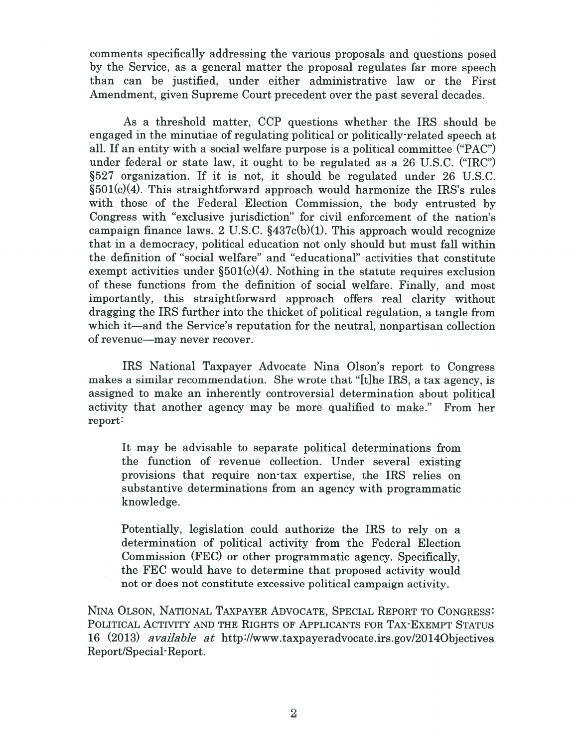comments specifically addressing the various proposals and questions posed by the Service, as <sup>a</sup> general matter the proposal regulates far more speech than can be justified, under either administrative law or the First Amendment, given Supreme Court precedent over the pas<sup>t</sup> several decades.

As <sup>a</sup> threshold matter, CCP questions whether the IRS should be engaged in the minutiae of regulating political or politically-related speech at all. If an entity with <sup>a</sup> social welfare purpose is <sup>a</sup> political committee ("PAC") under federal or state law, it ought to be regulated as <sup>a</sup> 26 U.S.C. ("IRC") §527 organization. If it is not, it should be regulated under 26 U.S.C.  $§501(c)(4)$ . This straightforward approach would harmonize the IRS's rules with those of the Federal Election Commission, the body entrusted by Congress with "exclusive jurisdiction" for civil enforcement of the nation's campaign finance laws. 2 U.S.C.  $$437c(b)(1)$ . This approach would recognize that in <sup>a</sup> democracy, political education not only should but must fall within the definition of "social welfare" and "educational" activities that constitute exempt activities under  $\S501(c)(4)$ . Nothing in the statute requires exclusion of these functions from the definition of social welfare. Finally, and most importantly, this straightforward approach offers real clarity without dragging the IRS further into the thicket of political regulation, <sup>a</sup> tangle from which it—and the Service's reputation for the neutral, nonpartisan collection of revenue—may never recover.

IRS National Taxpayer Advocate Nina Olson's repor<sup>t</sup> to Congress makes <sup>a</sup> similar recommendation. She wrote that "[tihe IRS, <sup>a</sup> tax agency, is assigned to make an inherently controversial determination about political activity that another agency may be more qualified to make." From her report:

It may be advisable to separate political determinations from the function of revenue collection. Under several existing provisions that require non-tax expertise, the IRS relies on substantive determinations from an agency with programmatic knowledge.

Potentially, legislation could authorize the IRS to rely on <sup>a</sup> determination of political activity from the Federal Election Commission (FEC) or other programmatic agency. Specifically, the FEC would have to determine that proposed activity would not or does not constitute excessive political campaign activity.

NINA OLSON, NATIONAL TAXPAYER ADVOCATE, SPECIAL REPORT TO CONGRESS: POLITICAL ACTIVITY AND THE RIGHTS OF APPLICANTS FOR TAX-EXEMPT STATUS <sup>16</sup> (2013) available at http ://www.taxpayeradvocate.irs. gov/20 l4Objectives Report/Special-Report.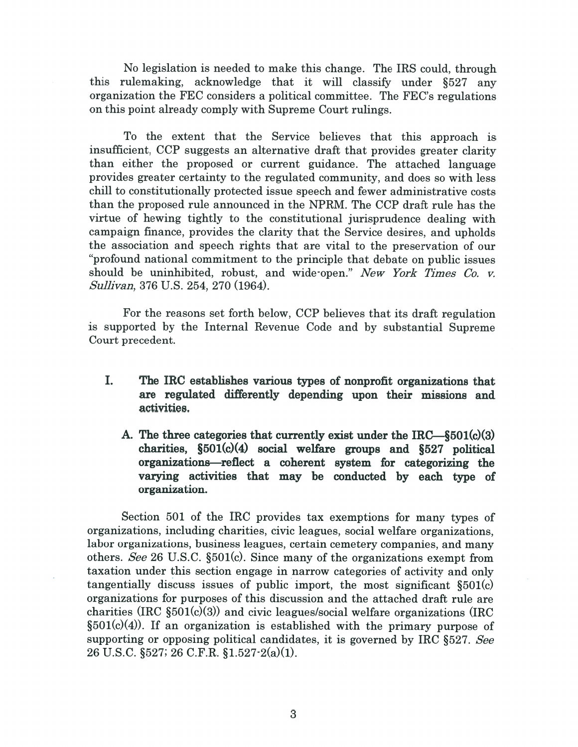No legislation is needed to make this change. The IRS could, through this rulemaking, acknowledge that it will classify under §527 any organization the FEC considers <sup>a</sup> political committee. The FEC's regulations on this point already comply with Supreme Court rulings.

To the extent that the Service believes that this approach is insufficient, CCP suggests an alternative draft that provides greater clarity than either the proposed or current guidance. The attached language provides greater certainty to the regulated community, and does so with less chill to constitutionally protected issue speech and fewer administrative costs than the proposed rule announced in the NPRM. The CCP draft rule has the virtue of hewing tightly to the constitutional jurisprudence dealing with campaign finance, provides the clarity that the Service desires, and upholds the association and speech rights that are vital to the preservation of our "profound national commitment to the principle that debate on public issues should be uninhibited, robust, and wide-open." New York Times Co. v. Sullivan, 376 U.S. 254, 270 (1964).

For the reasons set forth below, CCP believes that its draft regulation is supported by the Internal Revenue Code and by substantial Supreme Court precedent.

- I. The IRC establishes various types of nonprofit organizations that are regulated differently depending upon their missions and activities.
	- A. The three categories that currently exist under the  $\text{IRC}\_\$501(c)(3)$ charities,  $\S501(c)(4)$  social welfare groups and  $\S527$  political organizations—reflect <sup>a</sup> coherent system for categorizing the varying activities that may be conducted by each type of organization.

Section 501 of the IRC provides tax exemptions for many types of organizations, including charities, civic leagues, social welfare organizations, labor organizations, business leagues, certain cemetery companies, and many others. See 26 U.S.C. §501(c). Since many of the organizations exemp<sup>t</sup> from taxation under this section engage in narrow categories of activity and only tangentially discuss issues of public import, the most significant  $$501(c)$ organizations for purposes of this discussion and the attached draft rule are charities (IRC  $\S501(c)(3)$ ) and civic leagues/social welfare organizations (IRC  $\S501(c)(4)$ . If an organization is established with the primary purpose of supporting or opposing political candidates, it is governed by IRC §527. See 26 U.S.C. §527; 26 C.F.R. §1.527-2(a)(1).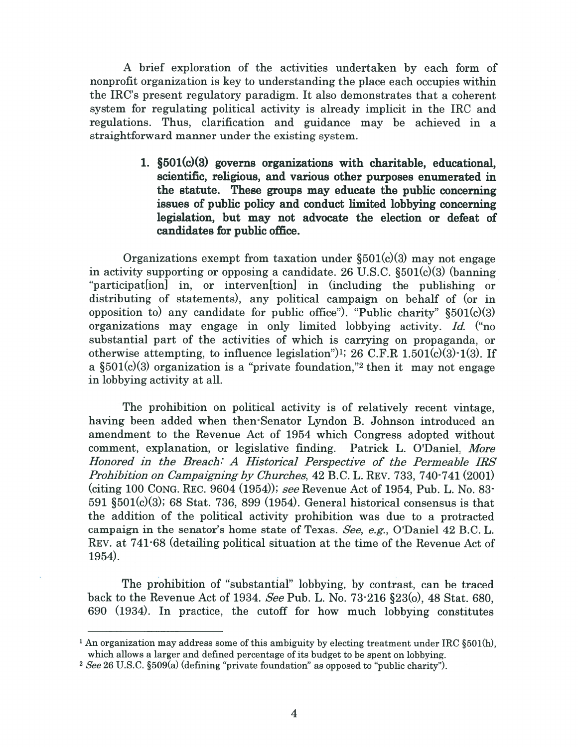A brief exploration of the activities undertaken by each form of nonprofit organization is key to understanding the place each occupies within the IRC's presen<sup>t</sup> regulatory paradigm. It also demonstrates that <sup>a</sup> coherent system for regulating political activity is already implicit in the IRC and regulations. Thus, clarification and guidance may be achieved in <sup>a</sup> straightforward manner under the existing system.

> 1. §501(c)(3) governs organizations with charitable, educational, scientific, religious, and various other purposes enumerated in the statute. These groups may educate the public concerning issues of public policy and conduct limited lobbying concerning legislation, but may not advocate the election or defeat of candidates for public office.

Organizations exempt from taxation under  $\S501(c)(3)$  may not engage in activity supporting or opposing <sup>a</sup> candidate. 26 U.S.C. §501(c)(3) (banning "participat[ionl in, or interven[tionl in (including the publishing or distributing of statements), any political campaign on behalf of (or in opposition to) any candidate for public office"). "Public charity"  $\S501(c)(3)$ organizations may engage in only limited lobbying activity. Id. ("no substantial par<sup>t</sup> of the activities of which is carrying on propaganda, or otherwise attempting, to influence legislation")<sup>1</sup>; 26 C.F.R  $1.501(c)(3)$ -1(3). If a  $\S501(c)(3)$  organization is a "private foundation," then it may not engage in lobbying activity at all.

The prohibition on political activity is of relatively recent vintage, having been added when then-Senator Lyndon B. Johnson introduced an amendment to the Revenue Act of 1954 which congress adopted without comment, explanation, or legislative finding. Patrick L. O'Daniel, More Honored in the Breach: A Historical Perspective of the Permeable IRS Prohibition on Campaigning by Churches, 42 B.C. L. REV. 733, 740-741 (2001) (citing 100 CONG. REc. 9604 (1954)); see Revenue Act of 1954, Pub. L. No. 83- 591  $\S501(c)(3)$ ; 68 Stat. 736, 899 (1954). General historical consensus is that the addition of the political activity prohibition was due to <sup>a</sup> protracted campaign in the senator's home state of Texas. See, e.g., O'Daniel  $42$  B.C. L. REV. at 741-68 (detailing political situation at the time of the Revenue Act of 1954).

The prohibition of "substantial" lobbying, by contrast, can be traced back to the Revenue Act of 1934. See Pub. L. No. 73-216 §23(o), 48 Stat. 680, 690 (1934). In practice, the cutoff for how much lobbying constitutes

<sup>&</sup>lt;sup>1</sup> An organization may address some of this ambiguity by electing treatment under IRC §501(h), which allows <sup>a</sup> larger and defined percentage of its budget to be spen<sup>t</sup> on lobbying.

<sup>&</sup>lt;sup>2</sup> See 26 U.S.C. §509(a) (defining "private foundation" as opposed to "public charity").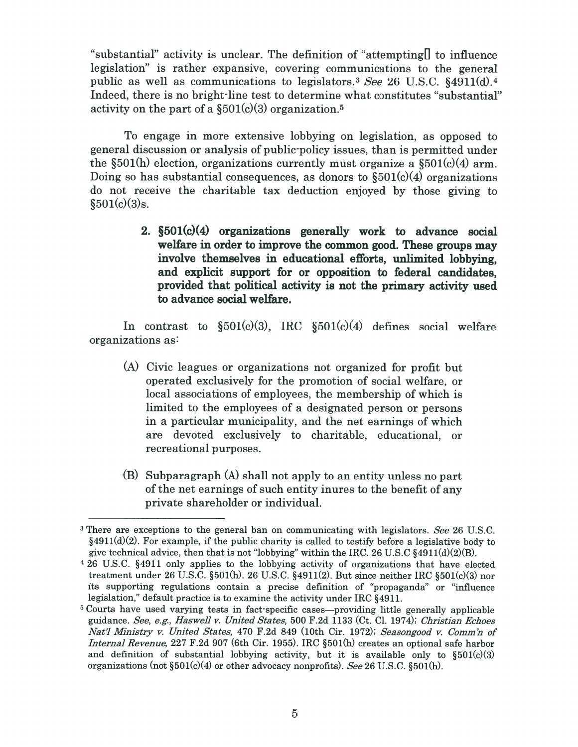"substantial" activity is unclear. The definition of "attempting  $\Box$  to influence legislation" is rather expansive, covering communications to the general public as well as communications to legislators.<sup>3</sup> See 26 U.S.C. §4911(d).<sup>4</sup> Indeed, there is no bright-line test to determine what constitutes "substantial" activity on the part of a  $\S501(c)(3)$  organization.<sup>5</sup>

To engage in more extensive lobbying on legislation, as opposed to general discussion or analysis of public-policy issues, than is permitted under the  $\S501(h)$  election, organizations currently must organize a  $\S501(c)(4)$  arm. Doing so has substantial consequences, as donors to  $$501(c)(4)$  organizations do not receive the charitable tax deduction enjoyed by those giving to  $$501(c)(3)s.$ 

> 2. §501(c)(4) organizations generally work to advance social welfare in order to improve the common good. These groups may involve themselves in educational efforts, unlimited lobbying, and explicit suppor<sup>t</sup> for or opposition to federal candidates, provided that political activity is not the primary activity used to advance social welfare.

In contrast to  $$501(c)(3)$ , IRC  $$501(c)(4)$  defines social welfare organizations as:

- (A) civic leagues or organizations not organized for profit but operated exclusively for the promotion of social welfare, or local associations of employees, the membership of which is limited to the employees of <sup>a</sup> designated person or persons in <sup>a</sup> particular municipality, and the net earnings of which are devoted exclusively to charitable, educational, or recreational purposes.
- (B) Subparagraph (A) shall not apply to an entity unless no par<sup>t</sup> of the net earnings of such entity inures to the benefit of any private shareholder or individual.

<sup>&</sup>lt;sup>3</sup> There are exceptions to the general ban on communicating with legislators. See 26 U.S.C.  $§4911(d)(2)$ . For example, if the public charity is called to testify before a legislative body to give technical advice, then that is not "lobbying" within the IRC. 26 U.S.C  $\S 4911(d)(2)(B)$ .

<sup>&</sup>lt;sup>4</sup> 26 U.S.C. §4911 only applies to the lobbying activity of organizations that have elected treatment under 26 U.S.C. §501(h). 26 U.S.C. §4911(2). But since neither IRC §501(c)(3) nor its supporting regulations contain <sup>a</sup> precise definition of "propaganda" or "influence legislation," default practice is to examine the activity under IRC §4911.

<sup>5</sup> courts have used varying tests in fact-specific cases—providing little generally applicable guidance. See, e.g., Haswell v. United States, 500 F.2d 1133 (Ct. Cl. 1974); Christian Echoes Nat'l Ministry v. United States, 470 F.2d 849 (10th Cir. 1972); Seasongood v. Comm'n of Internal Revenue, <sup>227</sup> F.2d <sup>907</sup> (6th cir. 1955). IRC §501(h) creates an optional safe harbor and definition of substantial lobbying activity, but it is available only to  $$501(c)(3)$ organizations (not  $\S501(c)(4)$  or other advocacy nonprofits). See 26 U.S.C.  $\S501(h)$ .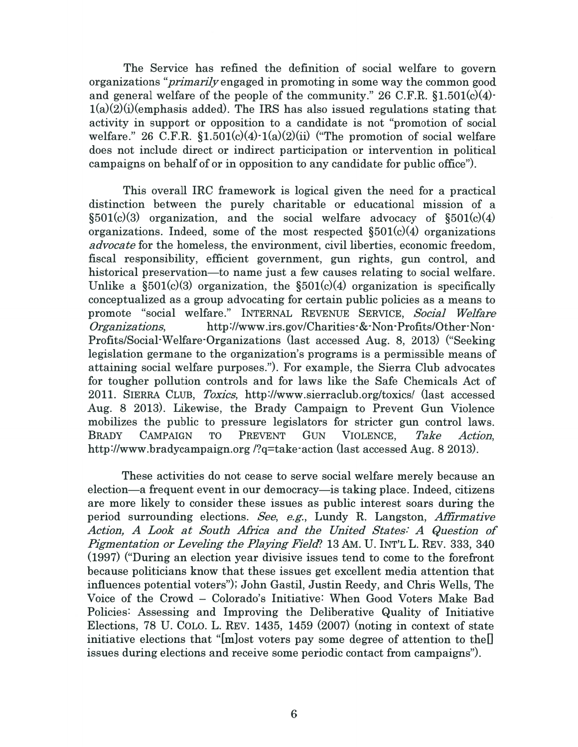The Service has refined the definition of social welfare to govern organizations "primarilyengaged in promoting in some way the common good and general welfare of the people of the community." 26 C.F.R.  $$1.501(c)(4)$  $1(a)(2)(i)$ (emphasis added). The IRS has also issued regulations stating that activity in suppor<sup>t</sup> or opposition to <sup>a</sup> candidate is not "promotion of social welfare." 26 C.F.R.  $$1.501(c)(4) \cdot 1(a)(2)(ii)$  ("The promotion of social welfare does not include direct or indirect participation or intervention in political campaigns on behalf of or in opposition to any candidate for public office").

This overall IRC framework is logical given the need for <sup>a</sup> practical distinction between the purely charitable or educational mission of <sup>a</sup>  $\S501(c)(3)$  organization, and the social welfare advocacy of  $\S501(c)(4)$ organizations. Indeed, some of the most respected  $$501(c)(4)$  organizations advocate for the homeless, the environment, civil liberties, economic freedom, fiscal responsibility, efficient government, gun rights, gun control, and historical preservation—to name just <sup>a</sup> few causes relating to social welfare. Unlike a  $\S501(c)(3)$  organization, the  $\S501(c)(4)$  organization is specifically conceptualized as <sup>a</sup> group advocating for certain public policies as <sup>a</sup> means to promote "social welfare." INTERNAL REVENUE SERVICE, Social Welfare Organiza tions, http ://www.irs. gov/Charities-&-Non-Profits/Other-Non Profits/Social-Welfare-Organizations (last accessed Aug. 8, 2013) ("Seeking" legislation germane to the organization's programs is <sup>a</sup> permissible means of attaining social welfare purposes."). For example, the Sierra Club advocates for tougher pollution controls and for laws like the Safe Chemicals Act of 2011. SIERRA CLUB, Toxics, http://www.sierraclub.org/toxics/ (last accessed Aug. 8 2013). Likewise, the Brady Campaign to Prevent Gun Violence mobilizes the public to pressure legislators for stricter gun control laws. BRADY CAMPAIGN TO PREVENT GUN VIOLENCE, Take Action, http://www.bradycampaign.org /?q=take-action (last accessed Aug. 8 2013).

These activities do not cease to serve social welfare merely because an election—a frequent event in our democracy—is taking place. Indeed, citizens are more likely to consider these issues as public interest soars during the period surrounding elections. See, e.g., Lundy R. Langston, Affirmative Action, A Look at South Africa and the United States: A Question of Pigmentation or Leveling the Playing Field? 13 AM. U. INT'L L. REV. 333, 340 ( 1997) ("During an election year divisive issues tend to come to the forefront because politicians know that these issues ge<sup>t</sup> excellent media attention that influences potential voters"); John Gastil, Justin Reedy, and Chris Wells, The Voice of the Crowd - Colorado's Initiative: When Good Voters Make Bad Policies: Assessing and Improving the Deliberative Quality of Initiative Elections, 78 U. COLO. L. REV. 1435, 1459 (2007) (noting in context of state initiative elections that "[m]ost voters pay some degree of attention to the[] issues during elections and receive some periodic contact from campaigns").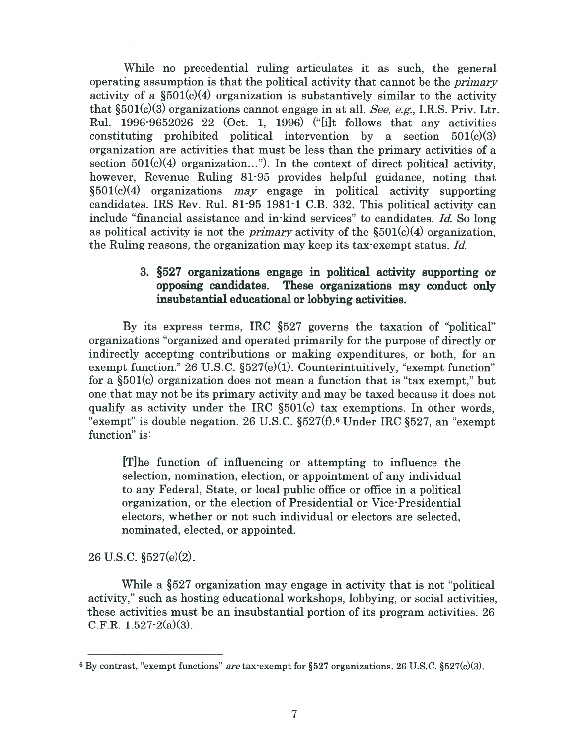While no precedential ruling articulates it as such, the general operating assumption is that the political activity that cannot be the primary activity of a  $\S501(c)(4)$  organization is substantively similar to the activity that  $\S501(c)(3)$  organizations cannot engage in at all. See, e.g., I.R.S. Priv. Ltr. Rul. 1996-9652026 22 (Oct. 1, 1996) ("[i]t follows that any activities constituting prohibited political intervention by a section  $501(c)(3)$ organization are activities that must be less than the primary activities of <sup>a</sup> section  $501(c)(4)$  organization..."). In the context of direct political activity, however, Revenue Ruling 81-95 provides helpful guidance, noting that  $§501(c)(4)$  organizations *may* engage in political activity supporting candidates. IRS Rev. Rul. 81-95 1981-1 C.B. 332. This political activity can include "financial assistance and in-kind services" to candidates. Id. So long as political activity is not the *primary* activity of the  $\S501(c)(4)$  organization, the Ruling reasons, the organization may keep its tax-exempt status. Id.

# 3. §527 organizations engage in political activity supporting or opposing candidates. These organizations may conduct only insubstantial educational or lobbying activities.

By its express terms, IRC §527 governs the taxation of "political" organizations "organized and operated primarily for the purpose of directly or indirectly accepting contributions or making expenditures, or both, for an exempt function." 26 U.S.C.  $\S527(e)(1)$ . Counterintuitively, "exempt function" for <sup>a</sup> §501(c) organization does not mean <sup>a</sup> function that is "tax exempt," but one that may not be its primary activity and may be taxed because it does not qualify as activity under the IRC §501(c) tax exemptions. In other words, "exempt" is double negation. 26 U.S.C.  $\S527(f)$ .<sup>6</sup> Under IRC  $\S527$ , an "exempt" function" is:

[TIhe function of influencing or attempting to influence the selection, nomination, election, or appointment of any individual to any Federal, State, or local public office or office in <sup>a</sup> political organization, or the election of Presidential or Vice-Presidential electors, whether or not such individual or electors are selected, nominated, elected, or appointed.

26 U.S.C. §527(e)(2).

While <sup>a</sup> §527 organization may engage in activity that is not "political activity," such as hosting educational workshops, lobbying, or social activities, these activities must be an insubstantial portion of its program activities. 26 C.F.R.  $1.527 - 2(a)(3)$ .

 $6$  By contrast, "exempt functions" are tax-exempt for  $\S527$  organizations. 26 U.S.C.  $\S527(c)(3)$ .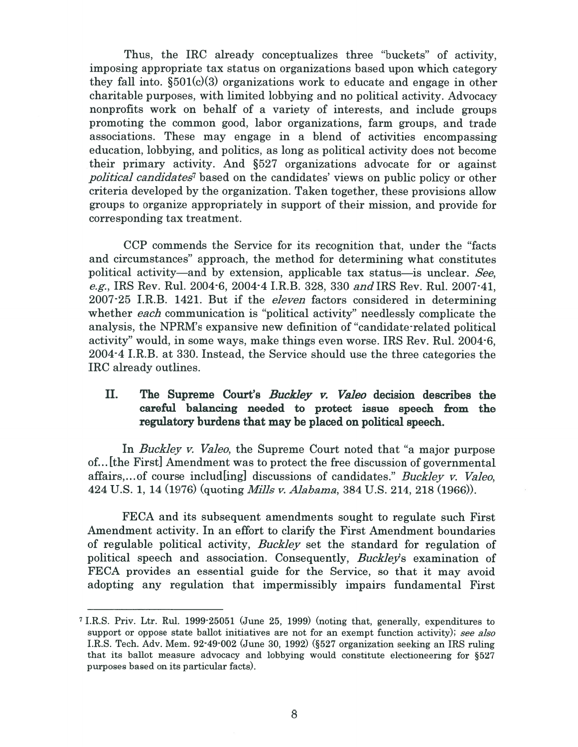Thus, the IRC already conceptualizes three "buckets" of activity, imposing appropriate tax status on organizations based upon which category they fall into.  $\S501(c)(3)$  organizations work to educate and engage in other charitable purposes, with limited lobbying and no political activity. Advocacy nonprofits work on behalf of <sup>a</sup> variety of interests, and include groups promoting the common good, labor organizations, farm groups, and trade associations. These may engage in <sup>a</sup> blend of activities encompassing education, lobbying, and politics, as long as political activity does not become their primary activity. And §527 organizations advocate for or against political candidates<sup>7</sup> based on the candidates' views on public policy or other criteria developed by the organization. Taken together, these provisions allow groups to organize appropriately in suppor<sup>t</sup> of their mission, and provide for corresponding tax treatment.

ccP commends the Service for its recognition that, under the "facts and circumstances" approach, the method for determining what constitutes political activity—and by extension, applicable tax status—is unclear. See, e.g., IRS Rev. Rul. 2004-6, 2004-4 I.R.B. 328, 330 andiRS Rev. Rul. 2007-41, 2007-25 I.R.B. 1421. But if the *eleven* factors considered in determining whether each communication is "political activity" needlessly complicate the analysis, the NPRM's expansive new definition of "candidate-related political activity" would, in some ways, make things even worse. IRS Rev. Rul. 2004-6, 2004-4 I.R.B. at 330. Instead, the Service should use the three categories the IRC already outlines.

# II. The Supreme Court's Buckley v. Valeo decision describes the careful balancing needed to protect issue speech from the regulatory burdens that may be placed on political speech.

In *Buckley v. Valeo*, the Supreme Court noted that "a major purpose of. . . [the First] Amendment was to protect the free discussion of governmental affairs,... of course includ [ing] discussions of candidates." Buckley v. Valeo, 424 U.S. 1, 14 (1976) (quoting Mills v. Alabama, 384 U.S. 214, 218 (1966)).

FECA and its subsequent amendments sought to regulate such First Amendment activity. In an effort to clarify the First Amendment boundaries of regulable political activity, Buckley set the standard for regulation of political speech and association. Consequently, Buckley's examination of FECA provides an essential guide for the Service, so that it may avoid adopting any regulation that impermissibly impairs fundamental First

<sup>&</sup>lt;sup>7</sup> I.R.S. Priv. Ltr. Rul. 1999-25051 (June 25, 1999) (noting that, generally, expenditures to support or oppose state ballot initiatives are not for an exempt function activity); see also I.R.S. Tech. Adv. Mem. 92-49002 (June 30, 1992) (527 organization seeking an IRS ruling that its ballot measure advocacy and lobbying would constitute electioneering for §527 purposes based on its particular facts).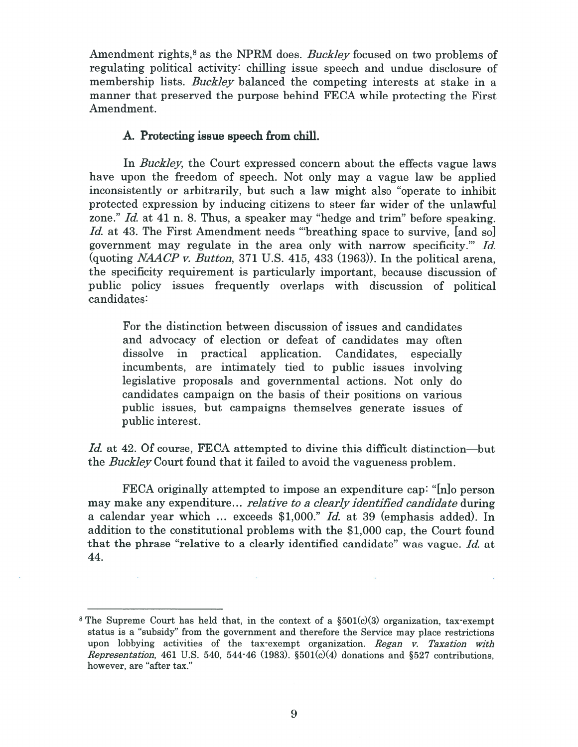Amendment rights,<sup>8</sup> as the NPRM does. *Buckley* focused on two problems of regulating political activity: chilling issue speec<sup>h</sup> and undue disclosure of membership lists. *Buckley* balanced the competing interests at stake in a manner that preserved the purpose behind FECA while protecting the First Amendment.

### A. Protecting issue speech from chill.

In *Buckley*, the Court expressed concern about the effects vague laws have upon the freedom of speech. Not only may <sup>a</sup> vague law be applied inconsistently or arbitrarily, but such <sup>a</sup> law might also "operate to inhibit protected expression by inducing citizens to steer far wider of the unlawful zone." Id. at 41 n. 8. Thus, a speaker may "hedge and trim" before speaking. Id. at 43. The First Amendment needs "breathing space to survive, [and so] governmen<sup>t</sup> may regulate in the area only with narrow specificity." Id. (quoting *NAACP v. Button*, 371 U.S. 415, 433 (1963)). In the political arena, the specificity requirement is particularly important, because discussion of public policy issues frequently overlaps with discussion of political candidates:

For the distinction between discussion of issues and candidates and advocacy of election or defeat of candidates may often dissolve in practical application. Candidates, especially incumbents, are intimately tied to public issues involving legislative proposals and governmental actions. Not only do candidates campaign on the basis of their positions on various public issues, but campaigns themselves generate issues of public interest.

Id. at 42. Of course, FECA attempted to divine this difficult distinction—but the Buckley Court found that it failed to avoid the vagueness problem.

FECA originally attempted to impose an expenditure cap: "[n] person may make any expenditure... *relative to a clearly identified candidate* during a calendar year which  $\ldots$  exceeds \$1,000." Id. at 39 (emphasis added). In addition to the constitutional problems with the \$1,000 cap, the Court found that the phrase "relative to <sup>a</sup> clearly identified candidate" was vague. Id. at 44.

<sup>&</sup>lt;sup>8</sup> The Supreme Court has held that, in the context of a  $\S501(c)(3)$  organization, tax-exempt status is <sup>a</sup> "subsidy" from the governmen<sup>t</sup> and therefore the Service may <sup>p</sup>lace restrictions upon lobbying activities of the tax-exempt organization. Regan v. Taxation with Representation, 461 U.S. 540, 544-46 (1983).  $\S 501(c)(4)$  donations and  $\S 527$  contributions, however, are "after tax."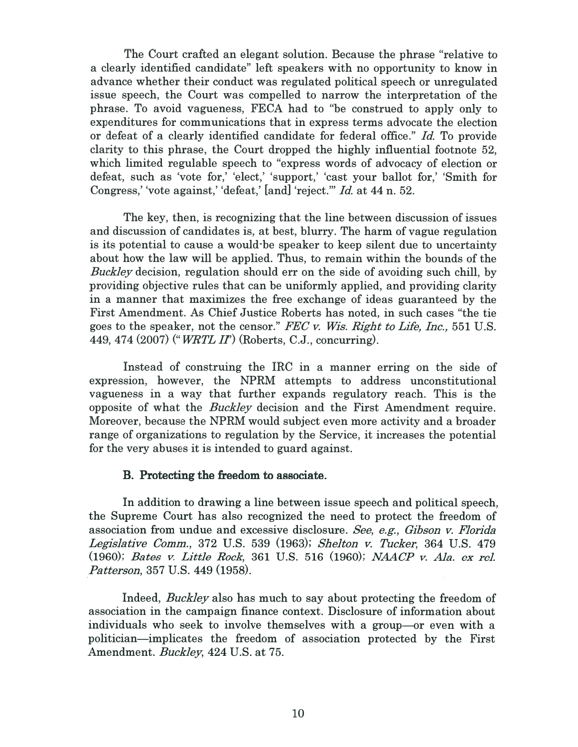The Court crafted an elegant solution. Because the phrase "relative to <sup>a</sup> clearly identified candidate" left speakers with no opportunity to know in advance whether their conduct was regulated political speech or unregulated issue speech, the Court was compelled to narrow the interpretation of the phrase. To avoid vagueness, FECA had to "be construed to apply only to expenditures for communications that in express terms advocate the election or defeat of <sup>a</sup> clearly identified candidate for federal office." Id. To provide clarity to this phrase, the Court dropped the highly influential footnote 52, which limited regulable speech to "express words of advocacy of election or defeat, such as 'vote for,' 'elect,' 'support,' 'cast your ballot for,' 'Smith for Congress, 'vote against, 'defeat,' [and] 'reject.'" Id. at 44 n. 52.

The key, then, is recognizing that the line between discussion of issues and discussion of candidates is, at best, blurry. The harm of vague regulation is its potential to cause <sup>a</sup> would-be speaker to keep silent due to uncertainty about how the law will be applied. Thus, to remain within the bounds of the Buckley decision, regulation should err on the side of avoiding such chill, by providing objective rules that can be uniformly applied, and providing clarity in <sup>a</sup> manner that maximizes the free exchange of ideas guaranteed by the First Amendment. As Chief Justice Roberts has noted, in such cases "the tie goes to the speaker, not the censor." FEC v. Wis. Right to Life, Inc., 551 U.S. 449, 474 (2007) ("*WRTL II*") (Roberts, C.J., concurring).

Instead of construing the IRC in <sup>a</sup> manner erring on the side of expression, however, the NPRM attempts to address unconstitutional vagueness in <sup>a</sup> way that further expands regulatory reach. This is the opposite of what the Buckley decision and the First Amendment require. Moreover, because the NPRM would subject even more activity and <sup>a</sup> broader range of organizations to regulation by the Service, it increases the potential for the very abuses it is intended to guard against.

### B. Protecting the freedom to associate.

In addition to drawing <sup>a</sup> line between issue speech and political speech, the Supreme Court has also recognized the need to protect the freedom of association from undue and excessive disclosure. See, e.g., Gibson v. Florida Legislative Comm., 372 U.S. 539 (1963); Shelton v. Tucker, 364 U.S. 479 (1960); Bates v. Little Rock, 361 U.S. 516 (1960); NAACP v. Ala. ex rel. Patterson, 357 U.S. 449 (1958).

Indeed, Buckley also has much to say about protecting the freedom of association in the campaign finance context. Disclosure of information about individuals who seek to involve themselves with <sup>a</sup> group—or even with <sup>a</sup> politician—implicates the freedom of association protected by the First Amendment. Buckley, 424 U.S. at 75.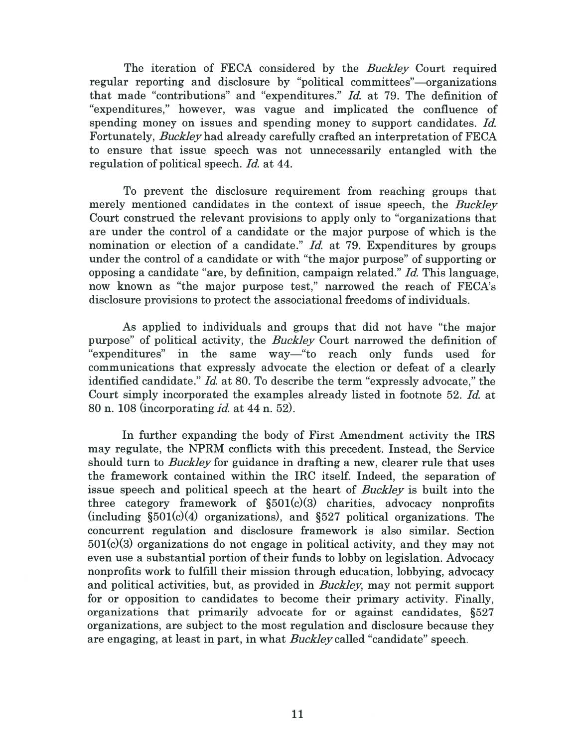The iteration of FECA considered by the *Buckley* Court required regular reporting and disclosure by "political committees"—organizations that made "contributions" and "expenditures." Id. at 79. The definition of "expenditures," however, was vague and implicated the confluence of spending money on issues and spending money to suppor<sup>t</sup> candidates. Id. Fortunately, Buckleyhad already carefully crafted an interpretation of FECA to ensure that issue speech was not unnecessarily entangled with the regulation of political speech. Id. at 44.

To preven<sup>t</sup> the disclosure requirement from reaching groups that merely mentioned candidates in the context of issue speech, the Buckley Court construed the relevant provisions to apply only to "organizations that are under the control of <sup>a</sup> candidate or the major purpose of which is the nomination or election of a candidate." Id. at 79. Expenditures by groups under the control of <sup>a</sup> candidate or with "the major purpose" of supporting or opposing a candidate "are, by definition, campaign related."  $Id$ . This language, now known as "the major purpose test," narrowed the reach of FECA's disclosure provisions to protect the associational freedoms of individuals.

As applied to individuals and groups that did not have "the major purpose" of political activity, the Buckley Court narrowed the definition of "expenditures" in the same way—"to reach only funds used for communications that expressly advocate the election or defeat of <sup>a</sup> clearly identified candidate." Id. at 80. To describe the term "expressly advocate," the Court simply incorporated the examples already listed in footnote 52. Id. at 80 n. 108 (incorporating *id.* at 44 n. 52).

In further expanding the body of First Amendment activity the IRS may regulate, the NPRM conflicts with this precedent. Instead, the Service should turn to *Buckley* for guidance in drafting a new, clearer rule that uses the framework contained within the IRC itself. Indeed, the separation of issue speech and political speech at the heart of Buckley is built into the three category framework of  $\S501(c)(3)$  charities, advocacy nonprofits  $(including \S501(c)(4)$  organizations), and  $\S527$  political organizations. The concurrent regulation and disclosure framework is also similar. Section 501(c)(3) organizations do not engage in political activity, and they may not even use <sup>a</sup> substantial portion of their funds to lobby on legislation. Advocacy nonprofits work to fulfill their mission through education, lobbying, advocacy and political activities, but, as provided in Buckley, may not permit suppor<sup>t</sup> for or opposition to candidates to become their primary activity. Finally, organizations that primarily advocate for or against candidates, §527 organizations, are subject to the most regulation and disclosure because they are engaging, at least in part, in what Buckley called "candidate" speech.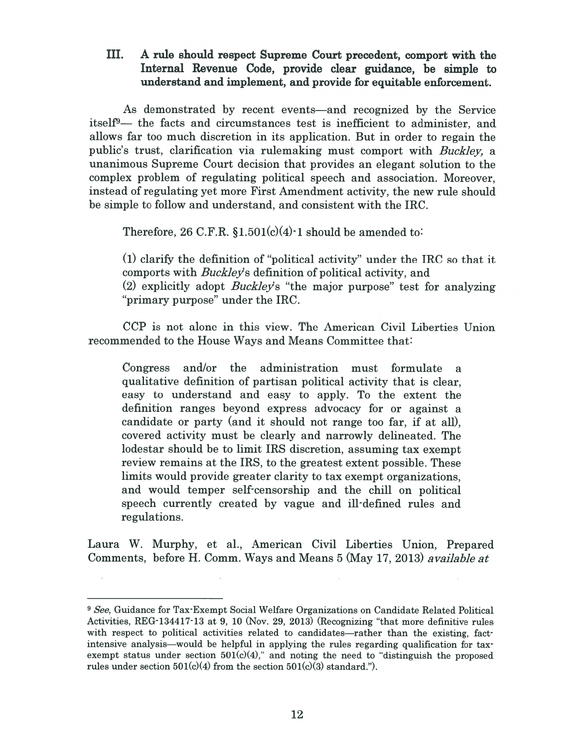III. A rule should respec<sup>t</sup> Supreme Court precedent, compor<sup>t</sup> with the Internal Revenue Code, provide clear guidance, be simple to understand and implement, and provide for equitable enforcement.

As demonstrated by recent events—and recognized by the Service itself<sup>9</sup>— the facts and circumstances test is inefficient to administer, and allows far too much discretion in its application. But in order to regain the public's trust, clarification via rulemaking must compor<sup>t</sup> with Buckley, <sup>a</sup> unanimous Supreme Court decision that provides an elegant solution to the complex problem of regulating political speech and association. Moreover, instead of regulating ye<sup>t</sup> more First Amendment activity, the new rule should be simple to follow and understand, and consistent with the IRC.

Therefore, 26 C.F.R.  $$1.501(c)(4)$  is should be amended to:

(1) clarify the definition of "political activity" under the IRC so that it comports with *Buckley's* definition of political activity, and (2) explicitly adopt *Buckley's* "the major purpose" test for analyzing "primary purpose" under the IRC.

CCP is not alone in this view. The American Civil Liberties Union recommended to the House Ways and Means Committee that:

Congress and/or the administration must formulate <sup>a</sup> qualitative definition of partisan political activity that is clear, easy to understand and easy to apply. To the extent the definition ranges beyond express advocacy for or against <sup>a</sup> candidate or party (and it should not range too far, if at all), covered activity must be clearly and narrowly delineated. The lodestar should be to limit IRS discretion, assuming tax exemp<sup>t</sup> review remains at the IRS, to the greatest extent possible. These limits would provide greater clarity to tax exemp<sup>t</sup> organizations, and would temper self-censorship and the chill on political speech currently created by vague and ill-defined rules and regulations.

Laura W. Murphy, et al., American Civil Liberties Union, Prepared Comments, before H. Comm. Ways and Means 5 (May 17, 2013) available at

<sup>&</sup>lt;sup>9</sup> See, Guidance for Tax-Exempt Social Welfare Organizations on Candidate Related Political Activities, REG 134417-13 at 9, 10 (Nov. 29, 2013) (Recognizing "that more definitive rules with respect to political activities related to candidates—rather than the existing, factintensive analysis—would be helpful in applying the rules regarding qualification for tax exempt status under section  $501(c)(4)$ ," and noting the need to "distinguish the proposed rules under section  $501(c)(4)$  from the section  $501(c)(3)$  standard.").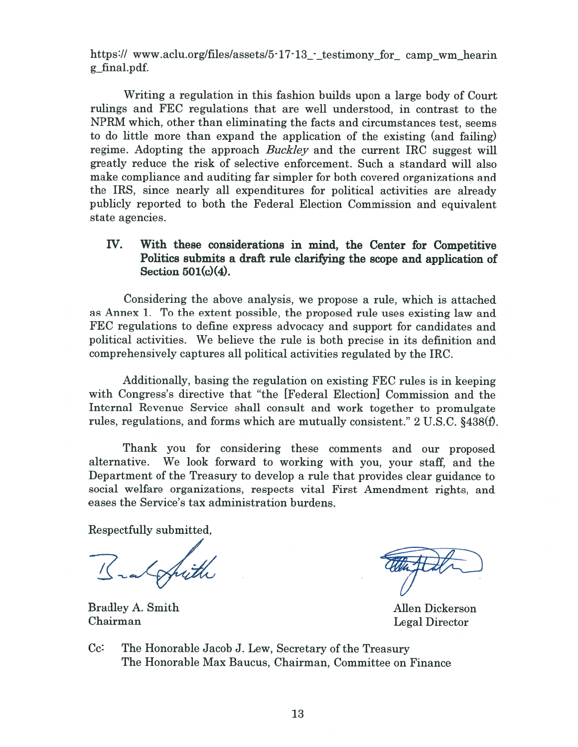https:// www.aclu.org/files/assets/5 $\cdot$ 17 $\cdot$ 13\_ $\cdot$  testimony for camp wm hearin g\_final.pdf.

Writing <sup>a</sup> regulation in this fashion builds upon <sup>a</sup> large body of Court rulings and FEC regulations that are well understood, in contrast to the NPRM which, other than eliminating the facts and circumstances test, seems to do little more than expand the application of the existing (and failing) regime. Adopting the approach Buckley and the current IRC suggest will greatly reduce the risk of selective enforcement. Such <sup>a</sup> standard will also make compliance and auditing far simpler for both covered organizations and the IRS, since nearly all expenditures for political activities are already publicly reported to both the Federal Election Commission and equivalent state agencies.

# Iv. With these considerations in mind, the Center for Competitive Politics submits <sup>a</sup> draft rule clarifying the scope and application of Section 501(c)(4).

Considering the above analysis, we propose <sup>a</sup> rule, which is attached as Annex 1. To the extent possible, the proposed rule uses existing law and FEC regulations to define express advocacy and suppor<sup>t</sup> for candidates and political activities. We believe the rule is both precise in its definition and comprehensively captures all political activities regulated by the IRC.

Additionally, basing the regulation on existing FEC rules is in keeping with Congress's directive that "the [Federal Election] Commission and the Internal Revenue Service shall consult and work together to promulgate rules, regulations, and forms which are mutually consistent." 2 U.S.C. §438(f).

Thank you for considering these comments and our proposed alternative. We look forward to working with you, your staff, and the Department of the Treasury to develop <sup>a</sup> rule that provides clear guidance to social welfare organizations, respects vital First Amendment rights, and eases the Service's tax administration burdens.

Respectfully submitted,

Bradley A. Smith Allen Dickerson Chairman Legal Director

Cc: The Honorable Jacob J. Lew, Secretary of the Treasury The Honorable Max Baucus, Chairman, Committee on Finance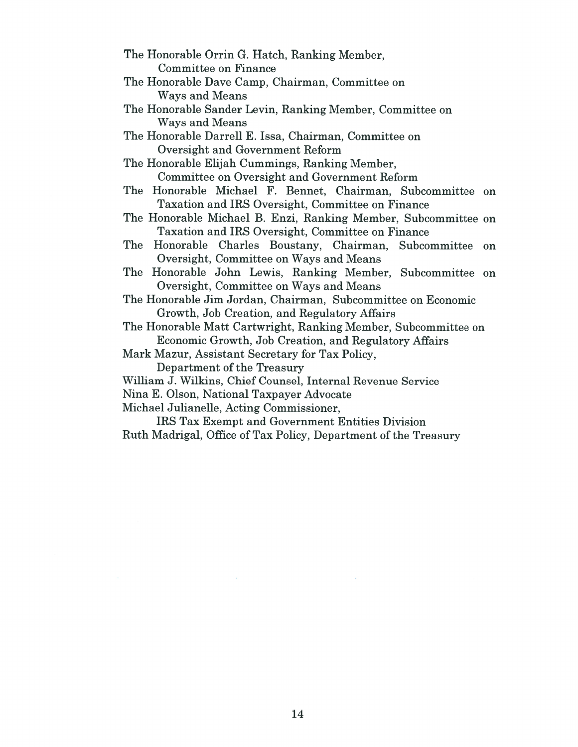- The Honorable Orrin G. Hatch, Ranking Member, Committee on Finance
- The Honorable Dave Camp, Chairman, Committee on Ways and Means
- The Honorable Sander Levin, Ranking Member, Committee on Ways and Means
- The Honorable Darrell E. Issa, Chairman, Committee on Oversight and Government Reform
- The Honorable Elijah Cummings, Ranking Member, Committee on Oversight and Government Reform
- The Honorable Michael F. Bennet, Chairman, Subcommittee on Taxation and IRS Oversight, Committee on Finance
- The Honorable Michael B. Enzi, Ranking Member, Subcommittee on Taxation and IRS Oversight, Committee on Finance
- The Honorable Charles Boustany, Chairman, Subcommittee on Oversight, Committee on Ways and Means
- The Honorable John Lewis, Ranking Member, Subcommittee on Oversight, Committee on Ways and Means
- The Honorable Jim Jordan, Chairman, Subcommittee on Economic Growth, Job Creation, and Regulatory Affairs
- The Honorable Matt Cartwright, Ranking Member, Subcommittee on Economic Growth, Job Creation, and Regulatory Affairs
- Mark Mazur, Assistant Secretary for Tax Policy,

Department of the Treasury

- William J. Wilkins, Chief Counsel, Internal Revenue Service
- Nina E. Olson, National Taxpayer Advocate
- Michael Julianelle, Acting Commissioner,

IRS Tax Exempt and Government Entities Division Ruth Madrigal, Office of Tax Policy, Department of the Treasury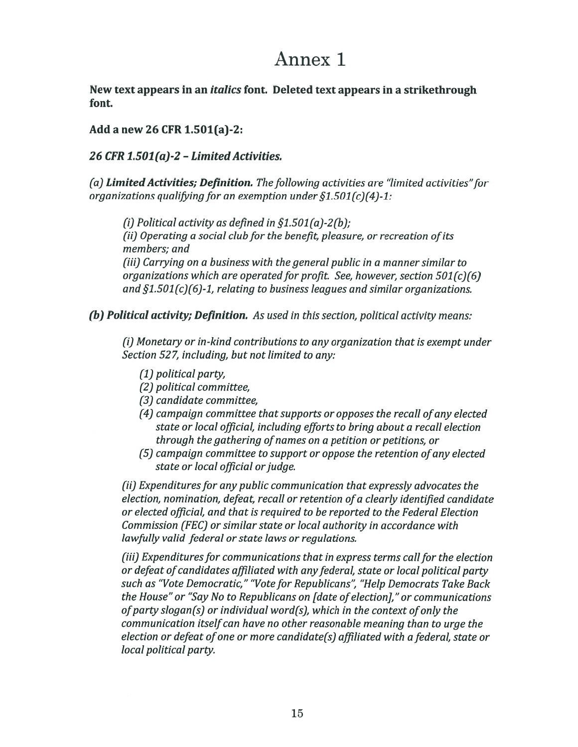# Annex 1

New text appears in an italics font. Deleted text appears in <sup>a</sup> strikethrough font.

Add <sup>a</sup> new 26 CFR 1.501(a)-2:

# 26 CFR  $1.501(a)$ -2 - Limited Activities.

(a) Limited Activities; Definition. The following activities are "limited activities" for organizations qualifying for an exemption under  $\S 1.501(c)(4)-1$ :

(i) Political activity as defined in  $\S1.501(a)$ -2(b); (ii) Operating a social club for the benefit, pleasure, or recreation of its members; and (iii) Carrying on a business with the general public in a manner similar to

organizations which are operated for profit. See, however, section  $501 (c)(6)$ and  $\S1.501 (c) (6)-1$ , relating to business leagues and similar organizations.

(b) Political activity; Definition. As used in this section, political activity means:

(1) Monetary or in-kind contributions to any organization that is exemp<sup>t</sup> under Section 527, including, but not limited to any:

- (1) political party,
- (2) political committee,
- (3) candidate committee,
- $(4)$  campaign committee that supports or opposes the recall of any elected state or local official, including efforts to bring about <sup>a</sup> recall election through the gathering of names on a petition or petitions, or
- (5) campaign committee to suppor<sup>t</sup> or oppose the retention ofany elected state or local official or judge.

(ii) Expenditures for any public communication that expressly advocates the election, nomination, defeat, recall or retention ofa clearly identified candidate or elected official, and that is required to be reported to the Federal Election Commission (FEC) or similar state or local authority in accordance with lawfully valid federal or state laws or regulations.

(iii) Expenditures for communications that in express terms call for the election or defeat of candidates affiliated with any federal, state or local political party such as "Vote Democratic," "Vote for Republicans", "Help Democrats Take Back the House" or "Say No to Republicans on [date ofelection]," or communications of party slogan(s) or individual word(s), which in the context of only the communication itself can have no other reasonable meaning than to urge the election or defeat ofone or more candidate(s) affiliated with <sup>a</sup> federal, state or local political party.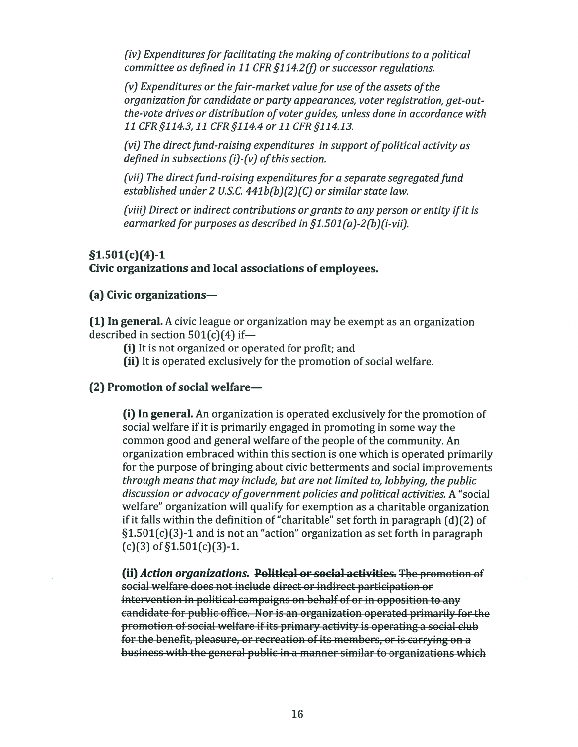iv) expenaitures for facilitating the making of contributions.<br>committee as defined in 11 CFR §114.2(f) or successor reaula penditures for facilitating the making of contributions to<br>...

(v on th<br>1. 1. (v de (v es<br>1. C es (v es he-vote drives or distribution of voter auides. unless done rg t ei<br>eice<br>e § Expenattures or<br>anization for car<br>vote drives or di<br>CFR §114.3, 11 C.<br>The direct fund-<br>ned in subsection<br>I The direct fund<br>blished under 2 Expenaitures or th<br>ganization for cand<br>e-vote drives or dist<br>CFR \$114.3. 11 CFF §114.2(f) or successo<br>ket value for use of tl<br>irty appearances, vot<br><sup>c</sup>voter auides. unless re issel<br>regi.<br>ne in<br>oliti<br>segi<br>law<br>rsor<br>i-vii)<br>as a is to<br>latic<br>ts o<sub>j</sub><br>istra<br>ical<br>regi e assets of the<br>rr registration,<br>'one in accorda olitica<br>, get-<br>, get-<br><br>vity if ii<br>izatio<br>.

direct fund-raisina expenditures in support of political activ defined in subsections  $(i)$ - $(v)$  of this section.

(vii) i ne a<br>establishe (vii) The direct fund-raising expenditures for a separate segregate aising expenditures in support of po<br>i (i)-(v) of this section.<br>raising expenditures for a separate s<br>.S.C. 441b(b)(2)(C) or similar state l<br>it contributions or grants to any per<br>ses as described in §1.501(a)-2(b)(i-

(viii) Direct or indirect contributions or arants to any person or entity if it is nrect or indirect contribution.<br>rked for purposes as describee ii) The direct fund-raising<br>tablished under 2 U.S.C. 4<br>iii) Direct or indirect cont<br>rmarked for purposes as<br>:**)(4)-1**<br>:**anizations and local as**: fund<br>|er 2<br>|ndire<br>|n**d long**<br>|ns raising<br>is (i)-(<br>raisin<br>U.S.C. 4<br>cct con<br>ses as<br>**ocal** as rt oj<br>ara<br>· sta<br>· 2(b<br><br>e**es.**<br>emp  $\sim$  C<sub>i</sub>

# 501(c) 77<br>(2)<br>(0)

#### izations and local associations of e

### (a) Civic organizatio

(1) In general. A civic league<br>described in section 501(c)<br>(i) It is not organized<br>(ii) It is operated exc<br>(2) Promotion of social we **n general.** A civic league or organization may be exempt as an organization tior<br>1iza<br>. A c<br>ctio<br>10f :  $\mathbf{so}$ <br>rg: *ons or gra<br>bed in §1.<br>ions of e<br>ation ma<br>l for prof<br>the prom* (2)<br>}<br>O :

(i) It is not organized or operated for profit; and<br>(ii) It is operated exclusively for the promotion of soci<br>comotion of social welfare ed<br>n<br>n<br>e:

#### otion of social welfare—

. (.0) -t. -+ social welfare if it is primarily engaged in promoting in some way the common good and general welfare of the people of the community.<br>
organization embraced within this section is one which is operated<br>
for the purpose of  $f(c)(3)$  of for the purpose of bringing about civic betterments and social improvements it falls within the definition of "charitable" set forth in paragraph (<br>l.501(c)(3)-1 and is not an "action" organization as set forth in par **(i) in general.** An organizati<br>social welfare if it is primaril In general. An organization is operated exclusively for the promotion of general.<br>
bed in second<br>
(i) It is n<br>
(ii) It is do<br>
(ii) In gel<br>
social we<br>
common<br>
organiza<br>
for the puthrough in<br>
discussion<br>
welfare"<br>
if it falls<br>
§1.501(c)<br>
(c)(3) of 'sio ns<br>
tides iving the set of the code of the code of the code of the code of the code of the code of the code of the code of the code of the code of the code of the code of the code of the code of the code of the code of the **12ations—**<br>A civic leag<br>tion 501(c)<br>ot organize<br>operated ex<br>**of social w<br>neral.** An or<br>elfare if it is<br>good and g<br>tion embra<br>urpose of br of l<br>*hai<br>'oc*<br>ati<br>he nd<br>c)|<br>*niz* . An org<br>if it is p<br>and ge<br>ambrace<br>of bri<br>standwocace<br>ization<br>the dead is<br>panization<br>anization xclı<br>**wel**<br>prga<br>s pr<br>gen race<br>brir<br>*t me<br>cacy*<br>ion<br>edis 1<br>**zati**<br>**zati**<br>itien organizat<br>is primari<br>| general v<br>|-<br>| according interacy<br>| according interacy<br>| according interacy<br>| according interacy rated f<br> *r* for th<br>
-<br>
ion is o<br>
y enga<br> *relfare*<br>
in this<br>
bout ci<br> *ude, bu*<br>
ermen<br>
lalify fo<br>
"actior"<br> **colitics<br>
de dire<br>
paigns<br>
for is a<br>
fits precreation<br>
bout is a<br>
fits precreation<br>
bout is a<br>
dereation<br>
is a<br>** cia ani ate on neiste de la proporcional de la proporcional de la proporcional de la proporcional de la propor<br>De la proporcional de la proporcional de la proporcional de la proporcional de la proporcional de la proporcio ated<br>for i<br>pin is engelfar<br>pin thi<br>pin if is dignated in the dignal<br>pin actionality<br>of "<br>aignality" welfare" organization will qualify for exemption as a charitable organization nei r ati<br>ed fc<br>is op<br>is op<br>are d<br>is s<br>it ci s operated ex<br>gaged in prom<br>re of the peop<br>is section is d<br>t civic bettern<br>but are not li.<br>nent policies d<br>r for exempti<br>charitable" s<br>ion" organiza ?S<br>)t<br>iz: rea exc<br>n prom<br>e peopl<br>on is or<br>etterm<br>*not lim<br>licies a*r<br>emptio<br>hlo" sor oye<br>exe:<br>d<br>n of<br>lusi<br>lusi cially in the ich and object the state of the state of the state of the state of the state of the state of the state of the state of the state of the state of the state of the state of the state of the state of the state o pers<br>b)(i-v<br>i.<br>b)(i-v<br>i.<br>cial<br>ely fc<br>in s<br>i.<br>ditica<br>chai<br>i in p<br>is set ny perso<br>?(b)(i-vii<br>?(b)(i-vii<br>**es.**<br>mpt as a<br>social w<br>ively for<br>mg in sol<br>f the cor<br>which is<br>s and solutical<br>as a chari<br>th in pa ole organiz<br>|graph (d)<br>|h in parag<br>| 2S. promoti<br>way the<br>unity. An<br>rated pri<br>improve<br>*g, the pul<br>vities.* A "<br>e organiz<br>raph (d)(<br>in paragn organization embraced within this section is one which is operated primarily<br>for the purpose of bringing about civic betterments and social improvements<br>through means that may include, but are not limited to, lobbying, the primarily<br>byement<br>*public*<br>A "social<br>nization<br>d)(2) of<br>agraph

. U U U U  $\frac{1}{10}$ <br> $\frac{1}{10}$ <br> $\frac{1}{10}$ <br> $\frac{1}{10}$ (ii) *Action organizations.* P<del>olitical or social activities.</del> idate for public office. Nor is an organization operated primari fare"<br>falls<br>01(c<br>03) of<br><del>Actic<br>al we<br>rven:<br>lidat</del> : pleasure, or recreation of its members, or is carryi U U U U promotion of social welfare if its primary activity is operating a social club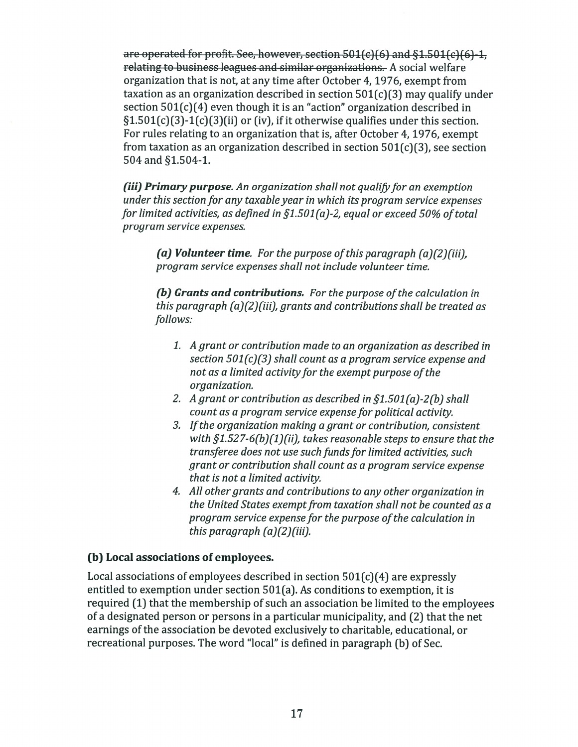are operated for profit. See, however, section 501(c)(6) and §1.501(c)(6)-1. relating to business leagues and similar organizations. A social welfare organization that is not, at any time after October 4, 1976, exemp<sup>t</sup> from taxation as an organization described in section  $501(c)(3)$  may qualify under section 501(c)(4) even though it is an "action" organization described in  $\S1.501(c)(3)-1(c)(3)(ii)$  or (iv), if it otherwise qualifies under this section. For rules relating to an organization that is, after October 4, 1976, exemp<sup>t</sup> from taxation as an organization described in section  $501(c)(3)$ , see section 504 and §1.504-i.

(iii) Primary purpose. An organization shall not qualify for an exemption under this section for any taxable year in which its program service expenses for limited activities, as defined in  $\S1.501(a)$ -2, equal or exceed 50% of total program service expenses.

(a) Volunteer time. For the purpose of this paragraph  $(a)(2)(iii)$ , program service expenses shall not include volunteer time.

(b) Grants and contributions. For the purpose of the calculation in this paragraph (a)(2)(iii), grants and contributions shall be treated as follows:

- 1. A gran<sup>t</sup> or contribution made to an organization as described in section 501(c)(3) shall count as <sup>a</sup> program service expense and not as a limited activity for the exempt purpose of the organization.
- 2. A grant or contribution as described in  $\S1.501(a)$ -2(b) shall count as a program service expense for political activity.
- 3. Ifthe organization making <sup>a</sup> gran<sup>t</sup> or contribution, consistent with  $\S 1.527 - 6(b)(1)(ii)$ , takes reasonable steps to ensure that the transferee does not use such fundsfor limited activities, such gran<sup>t</sup> or contribution shall count as <sup>a</sup> program service expense that is not <sup>a</sup> limited activity.
- 4. All other grants and contributions to any other organization in the United States exempt from taxation shall not be counted as a program service expense for the purpose of the calculation in this paragraph  $(a)(2)$ (iii).

### (b) Local associations of employees.

Local associations of employees described in section  $501(c)(4)$  are expressly entitled to exemption under section 501(a). As conditions to exemption, it is required (1) that the membership of such an association be limited to the employees of <sup>a</sup> designated person or persons in <sup>a</sup> particular municipality, and (2) that the net earnings of the association be devoted exclusively to charitable, educational, or recreational purposes. The word "local" is defined in paragraph (b) of Sec.